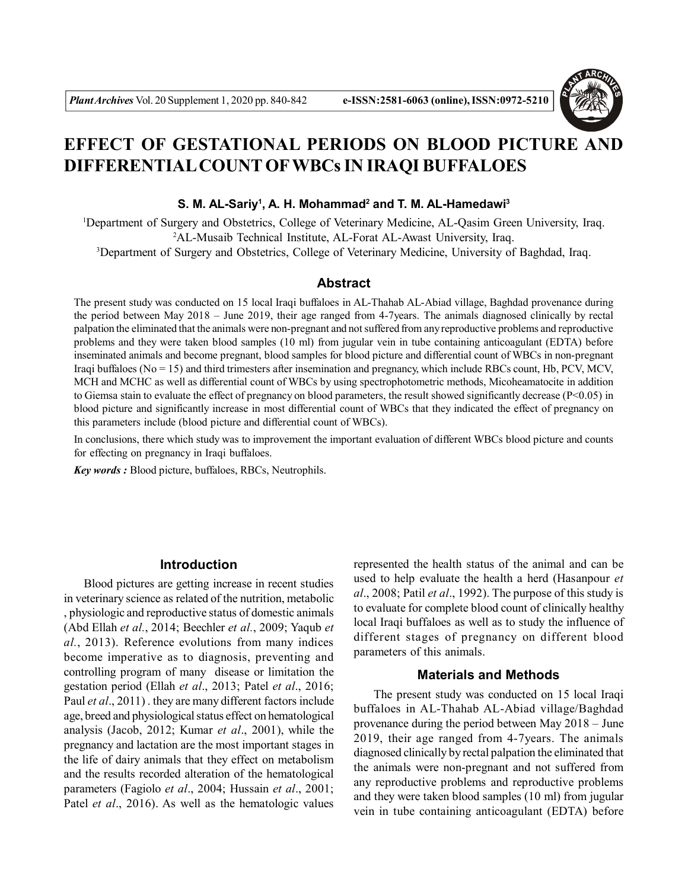

# **EFFECT OF GESTATIONAL PERIODS ON BLOOD PICTURE AND DIFFERENTIAL COUNT OFWBCs IN IRAQI BUFFALOES**

#### **S. M. AL-Sariy<sup>1</sup> , A. H. Mohammad<sup>2</sup> and T. M. AL-Hamedawi<sup>3</sup>**

<sup>1</sup>Department of Surgery and Obstetrics, College of Veterinary Medicine, AL-Qasim Green University, Iraq. <sup>2</sup>AL-Musaib Technical Institute, AL-Forat AL-Awast University, Iraq. <sup>3</sup>Department of Surgery and Obstetrics, College of Veterinary Medicine, University of Baghdad, Iraq.

## **Abstract**

The present study was conducted on 15 local Iraqi buffaloes in AL-Thahab AL-Abiad village, Baghdad provenance during the period between May 2018 – June 2019, their age ranged from 4-7years. The animals diagnosed clinically by rectal palpation the eliminated that the animals were non-pregnant and not suffered from any reproductive problems and reproductive problems and they were taken blood samples (10 ml) from jugular vein in tube containing anticoagulant (EDTA) before inseminated animals and become pregnant, blood samples for blood picture and differential count of WBCs in non-pregnant Iraqi buffaloes (No = 15) and third trimesters after insemination and pregnancy, which include RBCs count, Hb, PCV, MCV, MCH and MCHC as well as differential count of WBCs by using spectrophotometric methods, Micoheamatocite in addition to Giemsa stain to evaluate the effect of pregnancy on blood parameters, the result showed significantly decrease (P<0.05) in blood picture and significantly increase in most differential count of WBCs that they indicated the effect of pregnancy on this parameters include (blood picture and differential count of WBCs).

In conclusions, there which study was to improvement the important evaluation of different WBCs blood picture and counts for effecting on pregnancy in Iraqi buffaloes.

*Key words :* Blood picture, buffaloes, RBCs, Neutrophils.

# **Introduction**

Blood pictures are getting increase in recent studies in veterinary science as related of the nutrition, metabolic , physiologic and reproductive status of domestic animals (Abd Ellah *et al.*, 2014; Beechler *et al.*, 2009; Yaqub *et al.*, 2013). Reference evolutions from many indices become imperative as to diagnosis, preventing and controlling program of many disease or limitation the gestation period (Ellah *et al*., 2013; Patel *et al*., 2016; Paul *et al*., 2011) . they are many different factors include age, breed and physiological status effect on hematological analysis (Jacob, 2012; Kumar *et al*., 2001), while the pregnancy and lactation are the most important stages in the life of dairy animals that they effect on metabolism and the results recorded alteration of the hematological parameters (Fagiolo *et al*., 2004; Hussain *et al*., 2001; Patel *et al*., 2016). As well as the hematologic values

represented the health status of the animal and can be used to help evaluate the health a herd (Hasanpour *et al*., 2008; Patil *et al*., 1992). The purpose of this study is to evaluate for complete blood count of clinically healthy local Iraqi buffaloes as well as to study the influence of different stages of pregnancy on different blood parameters of this animals.

# **Materials and Methods**

The present study was conducted on 15 local Iraqi buffaloes in AL-Thahab AL-Abiad village/Baghdad provenance during the period between May 2018 – June 2019, their age ranged from 4-7years. The animals diagnosed clinically by rectal palpation the eliminated that the animals were non-pregnant and not suffered from any reproductive problems and reproductive problems and they were taken blood samples (10 ml) from jugular vein in tube containing anticoagulant (EDTA) before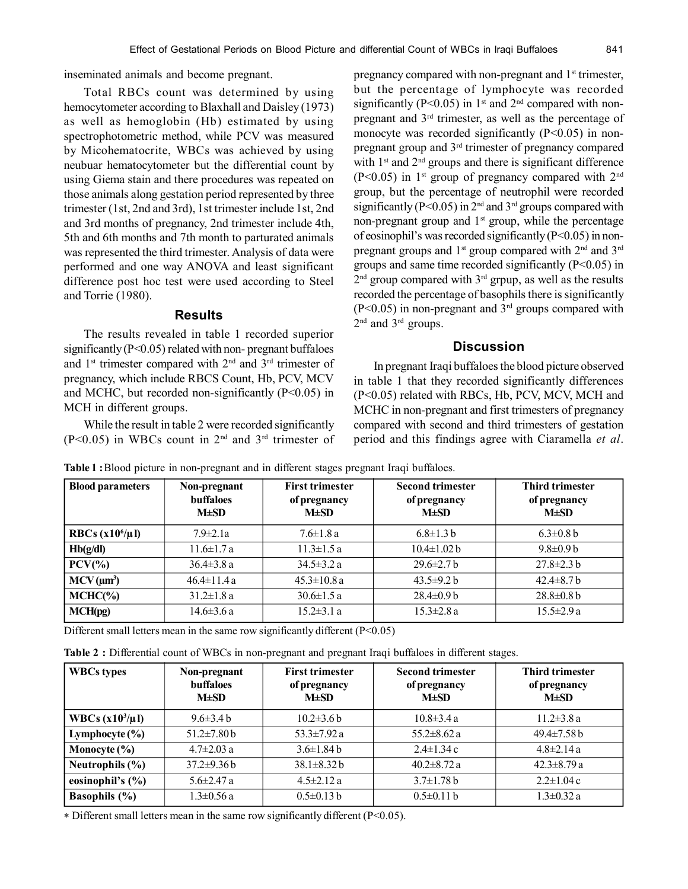inseminated animals and become pregnant.

Total RBCs count was determined by using hemocytometer according to Blaxhall and Daisley (1973) as well as hemoglobin (Hb) estimated by using spectrophotometric method, while PCV was measured by Micohematocrite, WBCs was achieved by using neubuar hematocytometer but the differential count by using Giema stain and there procedures was repeated on those animals along gestation period represented by three trimester (1st, 2nd and 3rd), 1st trimester include 1st, 2nd and 3rd months of pregnancy, 2nd trimester include 4th, 5th and 6th months and 7th month to parturated animals was represented the third trimester. Analysis of data were performed and one way ANOVA and least significant difference post hoc test were used according to Steel and Torrie (1980).

### **Results**

The results revealed in table 1 recorded superior significantly (P<0.05) related with non- pregnant buffaloes and  $1<sup>st</sup>$  trimester compared with  $2<sup>nd</sup>$  and  $3<sup>rd</sup>$  trimester of pregnancy, which include RBCS Count, Hb, PCV, MCV and MCHC, but recorded non-significantly (P<0.05) in MCH in different groups.

While the result in table 2 were recorded significantly  $(P<0.05)$  in WBCs count in 2<sup>nd</sup> and 3<sup>rd</sup> trimester of pregnancy compared with non-pregnant and 1<sup>st</sup> trimester, but the percentage of lymphocyte was recorded significantly (P<0.05) in  $1<sup>st</sup>$  and  $2<sup>nd</sup>$  compared with nonpregnant and 3rd trimester, as well as the percentage of monocyte was recorded significantly  $(P<0.05)$  in nonpregnant group and 3rd trimester of pregnancy compared with  $1<sup>st</sup>$  and  $2<sup>nd</sup>$  groups and there is significant difference  $(P<0.05)$  in 1<sup>st</sup> group of pregnancy compared with 2<sup>nd</sup> group, but the percentage of neutrophil were recorded significantly ( $P \le 0.05$ ) in  $2<sup>nd</sup>$  and  $3<sup>rd</sup>$  groups compared with non-pregnant group and  $1<sup>st</sup>$  group, while the percentage of eosinophil's was recorded significantly  $(P<0.05)$  in nonpregnant groups and 1<sup>st</sup> group compared with 2<sup>nd</sup> and 3<sup>rd</sup> groups and same time recorded significantly (P<0.05) in 2<sup>nd</sup> group compared with 3<sup>rd</sup> grpup, as well as the results recorded the percentage of basophils there is significantly  $(P<0.05)$  in non-pregnant and 3<sup>rd</sup> groups compared with 2<sup>nd</sup> and 3<sup>rd</sup> groups.

## **Discussion**

In pregnant Iraqi buffaloes the blood picture observed in table 1 that they recorded significantly differences (P<0.05) related with RBCs, Hb, PCV, MCV, MCH and MCHC in non-pregnant and first trimesters of pregnancy compared with second and third trimesters of gestation period and this findings agree with Ciaramella *et al*.

| <b>Blood parameters</b> | Non-pregnant<br><b>buffaloes</b><br>$M\pm SD$ | <b>First trimester</b><br>of pregnancy<br>$M \pm SD$ | <b>Second trimester</b><br>of pregnancy<br>$M\pm SD$ | <b>Third trimester</b><br>of pregnancy<br>$M \pm SD$ |
|-------------------------|-----------------------------------------------|------------------------------------------------------|------------------------------------------------------|------------------------------------------------------|
| RBCs $(x10^6/\mu)$      | $7.9 \pm 2.1a$                                | $7.6 \pm 1.8 a$                                      | $6.8 \pm 1.3 b$                                      | $6.3 \pm 0.8 b$                                      |
| Hb(g/dl)                | $11.6 \pm 1.7 a$                              | $11.3 \pm 1.5 a$                                     | $10.4 \pm 1.02$ b                                    | $9.8 \pm 0.9 b$                                      |
| $PCV(\%)$               | $36.4 \pm 3.8 a$                              | $34.5 \pm 3.2 a$                                     | $29.6 \pm 2.7 b$                                     | $27.8 \pm 2.3 b$                                     |
| $MCV(\mu m^3)$          | $46.4 \pm 11.4 a$                             | $45.3 \pm 10.8$ a                                    | $43.5 \pm 9.2 h$                                     | $42.4\pm8.7$ b                                       |
| MCHC(%)                 | $31.2 \pm 1.8$ a                              | $30.6 \pm 1.5 a$                                     | $28.4\pm0.9 b$                                       | $28.8 \pm 0.8 b$                                     |
| MCH(pg)                 | $14.6 \pm 3.6 a$                              | $15.2 \pm 3.1 a$                                     | $15.3 \pm 2.8$ a                                     | $15.5 \pm 2.9 a$                                     |

**Table 1 :**Blood picture in non-pregnant and in different stages pregnant Iraqi buffaloes.

Different small letters mean in the same row significantly different  $(P<0.05)$ 

**Table 2 :** Differential count of WBCs in non-pregnant and pregnant Iraqi buffaloes in different stages.

| <b>WBCs types</b>    | Non-pregnant<br><b>buffaloes</b><br>$M\pm SD$ | <b>First trimester</b><br>of pregnancy<br>$M \pm SD$ | <b>Second trimester</b><br>of pregnancy<br>$M\pm SD$ | <b>Third trimester</b><br>of pregnancy<br>$M \pm SD$ |
|----------------------|-----------------------------------------------|------------------------------------------------------|------------------------------------------------------|------------------------------------------------------|
| WBCs $(x10^3/\mu I)$ | $9.6\pm3.4 h$                                 | $10.2\pm3.6 b$                                       | $10.8 \pm 3.4 a$                                     | $11.2 \pm 3.8 a$                                     |
| Lymphocyte $(\% )$   | $51.2 \pm 7.80 b$                             | $53.3 \pm 7.92 a$                                    | $55.2 \pm 8.62$ a                                    | $49.4 \pm 7.58 \text{ h}$                            |
| Monocyte $(\% )$     | $4.7 \pm 2.03$ a                              | $3.6 \pm 1.84$ b                                     | $2.4 \pm 1.34$ c                                     | $4.8 \pm 2.14$ a                                     |
| Neutrophils $(\% )$  | $37.2 \pm 9.36$ b                             | $38.1 \pm 8.32 b$                                    | $40.2 \pm 8.72$ a                                    | $42.3 \pm 8.79 a$                                    |
| eosinophil's $(\% )$ | $5.6 \pm 2.47$ a                              | $4.5 \pm 2.12$ a                                     | $3.7 \pm 1.78 b$                                     | $2.2 \pm 1.04$ c                                     |
| <b>Basophils</b> (%) | $1.3 \pm 0.56$ a                              | $0.5\pm0.13$ b                                       | $0.5 \pm 0.11$ b                                     | $1.3 \pm 0.32$ a                                     |

Different small letters mean in the same row significantly different (P<0.05).